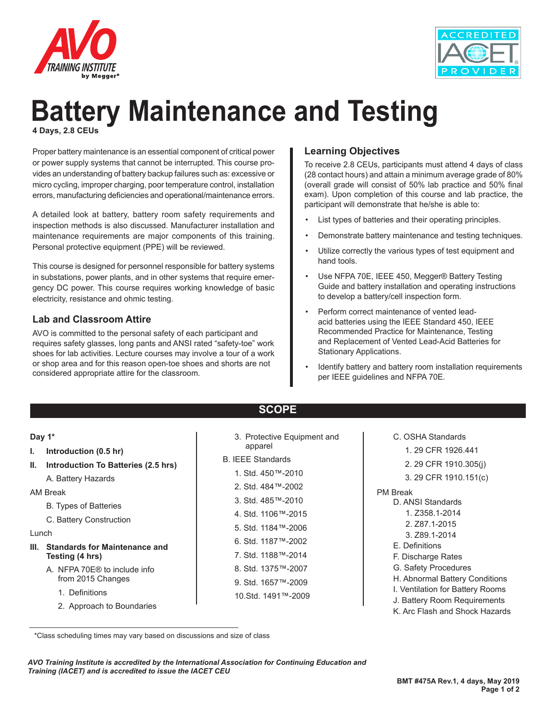



# **Battery Maintenance and Testing 4 Days, 2.8 CEUs**

Proper battery maintenance is an essential component of critical power or power supply systems that cannot be interrupted. This course provides an understanding of battery backup failures such as: excessive or micro cycling, improper charging, poor temperature control, installation errors, manufacturing deficiencies and operational/maintenance errors.

A detailed look at battery, battery room safety requirements and inspection methods is also discussed. Manufacturer installation and maintenance requirements are major components of this training. Personal protective equipment (PPE) will be reviewed.

This course is designed for personnel responsible for battery systems in substations, power plants, and in other systems that require emergency DC power. This course requires working knowledge of basic electricity, resistance and ohmic testing.

## **Lab and Classroom Attire**

AVO is committed to the personal safety of each participant and requires safety glasses, long pants and ANSI rated "safety-toe" work shoes for lab activities. Lecture courses may involve a tour of a work or shop area and for this reason open-toe shoes and shorts are not considered appropriate attire for the classroom.

# **Learning Objectives**

To receive 2.8 CEUs, participants must attend 4 days of class (28 contact hours) and attain a minimum average grade of 80% (overall grade will consist of 50% lab practice and 50% final exam). Upon completion of this course and lab practice, the participant will demonstrate that he/she is able to:

- List types of batteries and their operating principles.
- Demonstrate battery maintenance and testing techniques.
- Utilize correctly the various types of test equipment and hand tools.
- Use NFPA 70E, IEEE 450, Megger® Battery Testing Guide and battery installation and operating instructions to develop a battery/cell inspection form.
- Perform correct maintenance of vented leadacid batteries using the IEEE Standard 450, IEEE Recommended Practice for Maintenance, Testing and Replacement of Vented Lead-Acid Batteries for Stationary Applications.
- Identify battery and battery room installation requirements per IEEE guidelines and NFPA 70E.

# **SCOPE**

| Day 1*<br>Introduction (0.5 hr)<br>ı.<br>Introduction To Batteries (2.5 hrs)<br>Ш.<br>A. Battery Hazards<br>AM Break<br><b>B.</b> Types of Batteries<br>C. Battery Construction<br>Lunch<br><b>Standards for Maintenance and</b><br>III.<br>Testing (4 hrs) | 3. Protective Equipment and<br>apparel<br><b>B. IEEE Standards</b><br>1. Std. 450™-2010<br>2. Std. 484™-2002<br>3. Std. 485™-2010<br>4. Std. 1106™-2015<br>5. Std. 1184™-2006<br>6. Std. 1187™-2002<br>7. Std. 1188™-2014 | C. OSHA Standards<br>1.29 CFR 1926.441<br>2. 29 CFR 1910.305(j)<br>3. 29 CFR 1910.151(c)<br><b>PM</b> Break<br>D. ANSI Standards<br>1. Z358.1-2014<br>2. Z87.1-2015<br>3. Z89.1-2014<br>E. Definitions<br>F. Discharge Rates |
|-------------------------------------------------------------------------------------------------------------------------------------------------------------------------------------------------------------------------------------------------------------|---------------------------------------------------------------------------------------------------------------------------------------------------------------------------------------------------------------------------|------------------------------------------------------------------------------------------------------------------------------------------------------------------------------------------------------------------------------|
| A. NFPA 70E <sup>®</sup> to include info<br>from 2015 Changes<br>1. Definitions<br>2. Approach to Boundaries                                                                                                                                                | 8. Std. 1375™-2007<br>9. Std. 1657™-2009<br>10.Std. 1491™-2009                                                                                                                                                            | G. Safety Procedures<br>H. Abnormal Battery Conditions<br>I. Ventilation for Battery Rooms<br>J. Battery Room Requirements<br>K. Arc Flash and Shock Hazards                                                                 |

 <sup>\*</sup>Class scheduling times may vary based on discussions and size of class

*AVO Training Institute is accredited by the International Association for Continuing Education and Training (IACET) and is accredited to issue the IACET CEU*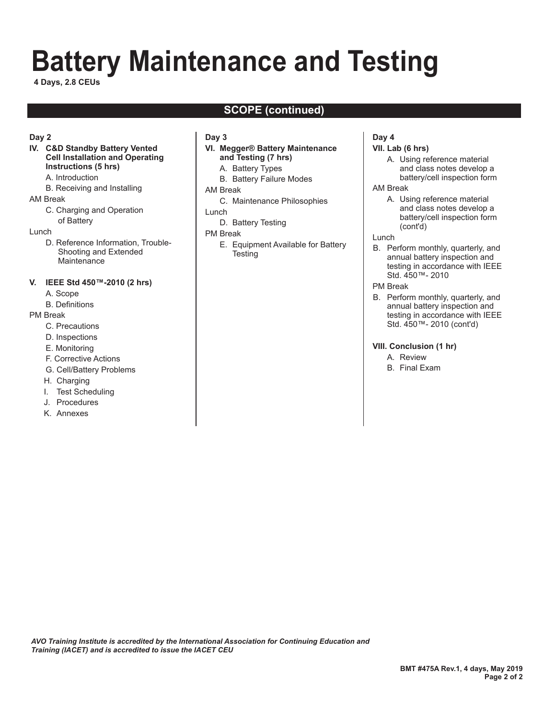# **Battery Maintenance and Testing**

**4 Days, 2.8 CEUs**

# **SCOPE (continued)**

#### **Day 2**

#### **IV. C&D Standby Battery Vented Cell Installation and Operating Instructions (5 hrs)**

- A. Introduction
- B. Receiving and Installing

#### AM Break

C. Charging and Operation of Battery

#### Lunch

D. Reference Information, Trouble-Shooting and Extended **Maintenance** 

#### **V. IEEE Std 450™-2010 (2 hrs)**

- A. Scope
- B. Definitions

#### PM Break

- C. Precautions
- D. Inspections
- E. Monitoring
- F. Corrective Actions
- G. Cell/Battery Problems
- H. Charging
- I. Test Scheduling
- J. Procedures
- K. Annexes

#### **Day 3**

#### **VI. Megger® Battery Maintenance and Testing (7 hrs)**

- A. Battery Types
- B. Battery Failure Modes

#### AM Break

C. Maintenance Philosophies

#### Lunch

D. Battery Testing

#### PM Break

 E. Equipment Available for Battery **Testing** 

#### **Day 4**

#### **VII. Lab (6 hrs)**

 A. Using reference material and class notes develop a battery/cell inspection form

#### AM Break

- A. Using reference material and class notes develop a battery/cell inspection form (cont'd)
- Lunch
- B. Perform monthly, quarterly, and annual battery inspection and testing in accordance with IEEE Std. 450™- 2010

#### PM Break

B. Perform monthly, quarterly, and annual battery inspection and testing in accordance with IEEE Std. 450™- 2010 (cont'd)

#### **VIII. Conclusion (1 hr)**

- A. Review
- B. Final Exam